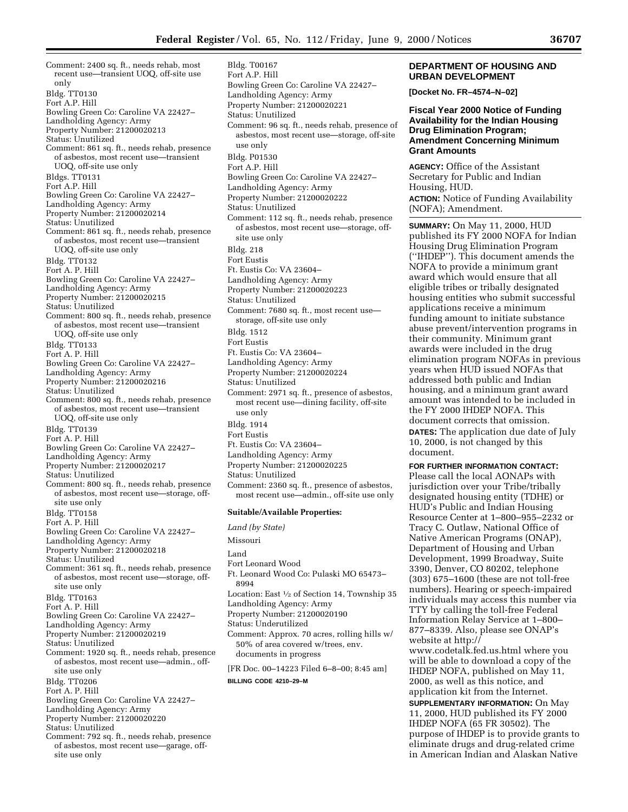Bowling Green Co: Caroline VA 22427–

Landholding Agency: Army Property Number: 21200020221

Bldg. T00167 Fort A.P. Hill

Comment: 2400 sq. ft., needs rehab, most recent use—transient UOQ, off-site use only Bldg. TT0130 Fort A.P. Hill Bowling Green Co: Caroline VA 22427– Landholding Agency: Army Property Number: 21200020213 Status: Unutilized Comment: 861 sq. ft., needs rehab, presence of asbestos, most recent use—transient UOQ, off-site use only Bldgs. TT0131 Fort A.P. Hill Bowling Green Co: Caroline VA 22427– Landholding Agency: Army Property Number: 21200020214 Status: Unutilized Comment: 861 sq. ft., needs rehab, presence of asbestos, most recent use—transient UOQ, off-site use only Bldg. TT0132 Fort A. P. Hill Bowling Green Co: Caroline VA 22427– Landholding Agency: Army Property Number: 21200020215 Status: Unutilized Comment: 800 sq. ft., needs rehab, presence of asbestos, most recent use—transient UOQ, off-site use only Bldg. TT0133 Fort A. P. Hill Bowling Green Co: Caroline VA 22427– Landholding Agency: Army Property Number: 21200020216 Status: Unutilized Comment: 800 sq. ft., needs rehab, presence of asbestos, most recent use—transient UOQ, off-site use only Bldg. TT0139 Fort A. P. Hill Bowling Green Co: Caroline VA 22427– Landholding Agency: Army Property Number: 21200020217 Status: Unutilized Comment: 800 sq. ft., needs rehab, presence of asbestos, most recent use—storage, offsite use only Bldg. TT0158 Fort A. P. Hill Bowling Green Co: Caroline VA 22427– Landholding Agency: Army Property Number: 21200020218 Status: Unutilized Comment: 361 sq. ft., needs rehab, presence of asbestos, most recent use—storage, offsite use only Bldg. TT0163 Fort A. P. Hill Bowling Green Co: Caroline VA 22427– Landholding Agency: Army Property Number: 21200020219 Status: Unutilized Comment: 1920 sq. ft., needs rehab, presence of asbestos, most recent use—admin., offsite use only Bldg. TT0206 Fort A. P. Hill Bowling Green Co: Caroline VA 22427– Landholding Agency: Army Property Number: 21200020220 Status: Unutilized Comment: 792 sq. ft., needs rehab, presence of asbestos, most recent use—garage, off-

site use only

Status: Unutilized Comment: 96 sq. ft., needs rehab, presence of asbestos, most recent use—storage, off-site use only Bldg. P01530 Fort A.P. Hill Bowling Green Co: Caroline VA 22427– Landholding Agency: Army Property Number: 21200020222 Status: Unutilized Comment: 112 sq. ft., needs rehab, presence of asbestos, most recent use—storage, offsite use only Bldg. 218 Fort Eustis Ft. Eustis Co: VA 23604– Landholding Agency: Army Property Number: 21200020223 Status: Unutilized Comment: 7680 sq. ft., most recent use storage, off-site use only Bldg. 1512 Fort Eustis Ft. Eustis Co: VA 23604– Landholding Agency: Army Property Number: 21200020224 Status: Unutilized Comment: 2971 sq. ft., presence of asbestos, most recent use—dining facility, off-site use only Bldg. 1914 Fort Eustis Ft. Eustis Co: VA 23604– Landholding Agency: Army Property Number: 21200020225 Status: Unutilized Comment: 2360 sq. ft., presence of asbestos, most recent use—admin., off-site use only **Suitable/Available Properties:** *Land (by State)*

Missouri Land Fort Leonard Wood Ft. Leonard Wood Co: Pulaski MO 65473– 8994 Location: East 1⁄2 of Section 14, Township 35 Landholding Agency: Army Property Number: 21200020190 Status: Underutilized Comment: Approx. 70 acres, rolling hills w/ 50% of area covered w/trees, env. documents in progress [FR Doc. 00–14223 Filed 6–8–00; 8:45 am]

**BILLING CODE 4210–29–M**

## **DEPARTMENT OF HOUSING AND URBAN DEVELOPMENT**

**[Docket No. FR–4574–N–02]**

## **Fiscal Year 2000 Notice of Funding Availability for the Indian Housing Drug Elimination Program; Amendment Concerning Minimum Grant Amounts**

**AGENCY:** Office of the Assistant Secretary for Public and Indian Housing, HUD.

**ACTION:** Notice of Funding Availability (NOFA); Amendment.

**SUMMARY:** On May 11, 2000, HUD published its FY 2000 NOFA for Indian Housing Drug Elimination Program (''IHDEP''). This document amends the NOFA to provide a minimum grant award which would ensure that all eligible tribes or tribally designated housing entities who submit successful applications receive a minimum funding amount to initiate substance abuse prevent/intervention programs in their community. Minimum grant awards were included in the drug elimination program NOFAs in previous years when HUD issued NOFAs that addressed both public and Indian housing, and a minimum grant award amount was intended to be included in the FY 2000 IHDEP NOFA. This document corrects that omission. **DATES:** The application due date of July 10, 2000, is not changed by this document.

**FOR FURTHER INFORMATION CONTACT:** Please call the local AONAPs with jurisdiction over your Tribe/tribally designated housing entity (TDHE) or HUD's Public and Indian Housing Resource Center at 1–800–955–2232 or Tracy C. Outlaw, National Office of Native American Programs (ONAP), Department of Housing and Urban Development, 1999 Broadway, Suite 3390, Denver, CO 80202, telephone (303) 675–1600 (these are not toll-free numbers). Hearing or speech-impaired individuals may access this number via TTY by calling the toll-free Federal Information Relay Service at 1–800– 877–8339. Also, please see ONAP's website at http://

www.codetalk.fed.us.html where you will be able to download a copy of the IHDEP NOFA, published on May 11, 2000, as well as this notice, and application kit from the Internet.

**SUPPLEMENTARY INFORMATION:** On May 11, 2000, HUD published its FY 2000 IHDEP NOFA (65 FR 30502). The purpose of IHDEP is to provide grants to eliminate drugs and drug-related crime in American Indian and Alaskan Native